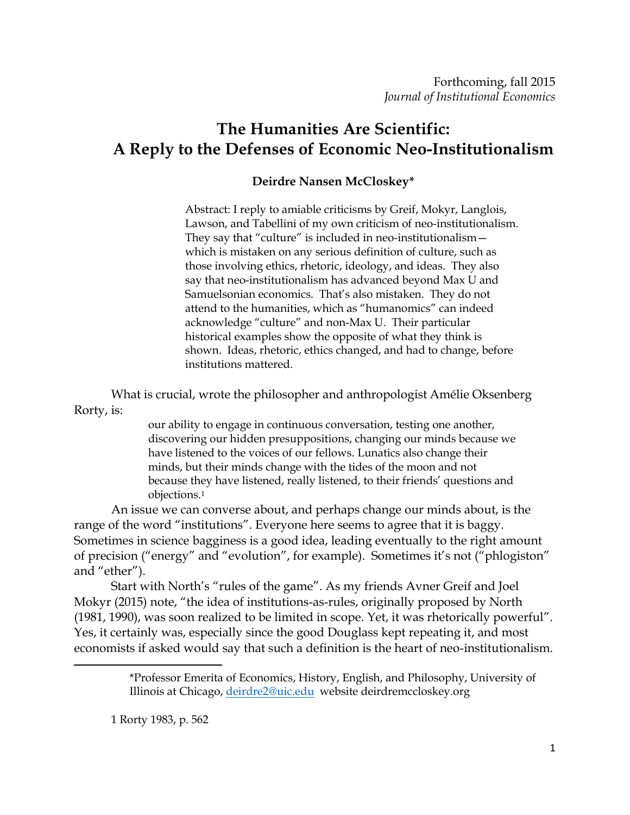# **The Humanities Are Scientific: A Reply to the Defenses of Economic Neo-Institutionalism**

#### **Deirdre Nansen McCloskey\***

Abstract: I reply to amiable criticisms by Greif, Mokyr, Langlois, Lawson, and Tabellini of my own criticism of neo-institutionalism. They say that "culture" is included in neo-institutionalism which is mistaken on any serious definition of culture, such as those involving ethics, rhetoric, ideology, and ideas. They also say that neo-institutionalism has advanced beyond Max U and Samuelsonian economics. That's also mistaken. They do not attend to the humanities, which as "humanomics" can indeed acknowledge "culture" and non-Max U. Their particular historical examples show the opposite of what they think is shown. Ideas, rhetoric, ethics changed, and had to change, before institutions mattered.

What is crucial, wrote the philosopher and anthropologist Amélie Oksenberg Rorty, is:

> our ability to engage in continuous conversation, testing one another, discovering our hidden presuppositions, changing our minds because we have listened to the voices of our fellows. Lunatics also change their minds, but their minds change with the tides of the moon and not because they have listened, really listened, to their friends' questions and objections.<sup>1</sup>

An issue we can converse about, and perhaps change our minds about, is the range of the word "institutions". Everyone here seems to agree that it is baggy. Sometimes in science bagginess is a good idea, leading eventually to the right amount of precision ("energy" and "evolution", for example). Sometimes it's not ("phlogiston" and "ether").

Start with North's "rules of the game". As my friends Avner Greif and Joel Mokyr (2015) note, "the idea of institutions-as-rules, originally proposed by North (1981, 1990), was soon realized to be limited in scope. Yet, it was rhetorically powerful". Yes, it certainly was, especially since the good Douglass kept repeating it, and most economists if asked would say that such a definition is the heart of neo-institutionalism.

1 Rorty 1983, p. 562

 $\overline{a}$ 

<sup>\*</sup>Professor Emerita of Economics, History, English, and Philosophy, University of Illinois at Chicago, [deirdre2@uic.edu](mailto:deirdre2@uic.edu) website deirdremccloskey.org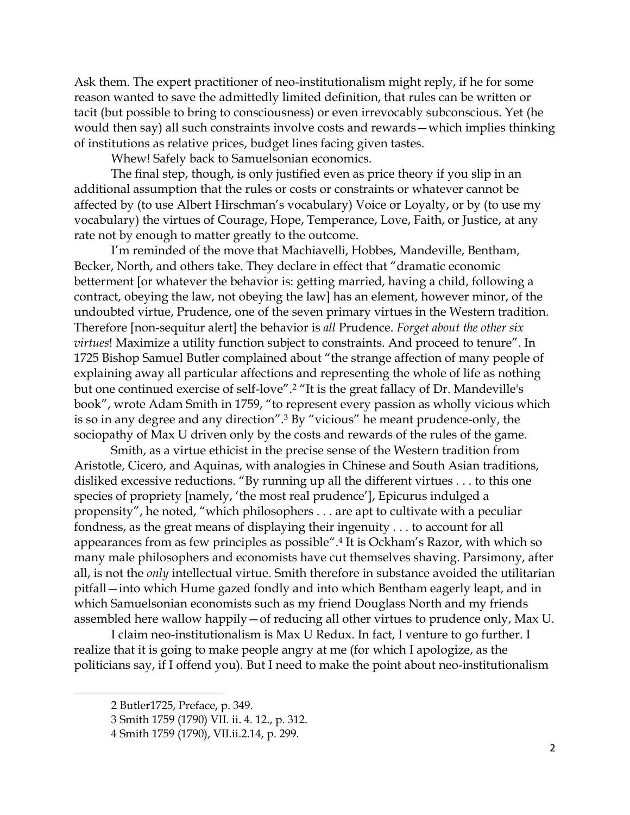Ask them. The expert practitioner of neo-institutionalism might reply, if he for some reason wanted to save the admittedly limited definition, that rules can be written or tacit (but possible to bring to consciousness) or even irrevocably subconscious. Yet (he would then say) all such constraints involve costs and rewards—which implies thinking of institutions as relative prices, budget lines facing given tastes.

Whew! Safely back to Samuelsonian economics.

The final step, though, is only justified even as price theory if you slip in an additional assumption that the rules or costs or constraints or whatever cannot be affected by (to use Albert Hirschman's vocabulary) Voice or Loyalty, or by (to use my vocabulary) the virtues of Courage, Hope, Temperance, Love, Faith, or Justice, at any rate not by enough to matter greatly to the outcome.

I'm reminded of the move that Machiavelli, Hobbes, Mandeville, Bentham, Becker, North, and others take. They declare in effect that "dramatic economic betterment [or whatever the behavior is: getting married, having a child, following a contract, obeying the law, not obeying the law] has an element, however minor, of the undoubted virtue, Prudence, one of the seven primary virtues in the Western tradition. Therefore [non-sequitur alert] the behavior is *all* Prudence. *Forget about the other six virtues*! Maximize a utility function subject to constraints. And proceed to tenure". In 1725 Bishop Samuel Butler complained about "the strange affection of many people of explaining away all particular affections and representing the whole of life as nothing but one continued exercise of self-love".<sup>2</sup> "It is the great fallacy of Dr. Mandeville's book", wrote Adam Smith in 1759, "to represent every passion as wholly vicious which is so in any degree and any direction".<sup>3</sup> By "vicious" he meant prudence-only, the sociopathy of Max U driven only by the costs and rewards of the rules of the game.

Smith, as a virtue ethicist in the precise sense of the Western tradition from Aristotle, Cicero, and Aquinas, with analogies in Chinese and South Asian traditions, disliked excessive reductions. "By running up all the different virtues . . . to this one species of propriety [namely, 'the most real prudence'], Epicurus indulged a propensity", he noted, "which philosophers . . . are apt to cultivate with a peculiar fondness, as the great means of displaying their ingenuity . . . to account for all appearances from as few principles as possible".<sup>4</sup> It is Ockham's Razor, with which so many male philosophers and economists have cut themselves shaving. Parsimony, after all, is not the *only* intellectual virtue. Smith therefore in substance avoided the utilitarian pitfall—into which Hume gazed fondly and into which Bentham eagerly leapt, and in which Samuelsonian economists such as my friend Douglass North and my friends assembled here wallow happily—of reducing all other virtues to prudence only, Max U.

I claim neo-institutionalism is Max U Redux. In fact, I venture to go further. I realize that it is going to make people angry at me (for which I apologize, as the politicians say, if I offend you). But I need to make the point about neo-institutionalism

<sup>2</sup> Butler1725, Preface, p. 349.

<sup>3</sup> Smith 1759 (1790) VII. ii. 4. 12., p. 312.

<sup>4</sup> Smith 1759 (1790), VII.ii.2.14, p. 299.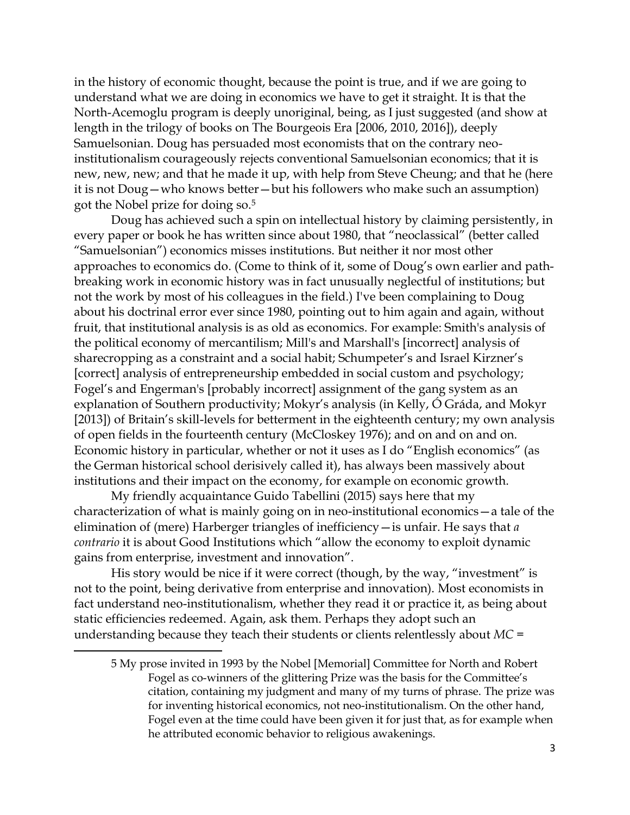in the history of economic thought, because the point is true, and if we are going to understand what we are doing in economics we have to get it straight. It is that the North-Acemoglu program is deeply unoriginal, being, as I just suggested (and show at length in the trilogy of books on The Bourgeois Era [2006, 2010, 2016]), deeply Samuelsonian. Doug has persuaded most economists that on the contrary neoinstitutionalism courageously rejects conventional Samuelsonian economics; that it is new, new, new; and that he made it up, with help from Steve Cheung; and that he (here it is not Doug—who knows better—but his followers who make such an assumption) got the Nobel prize for doing so.<sup>5</sup>

Doug has achieved such a spin on intellectual history by claiming persistently, in every paper or book he has written since about 1980, that "neoclassical" (better called "Samuelsonian") economics misses institutions. But neither it nor most other approaches to economics do. (Come to think of it, some of Doug's own earlier and pathbreaking work in economic history was in fact unusually neglectful of institutions; but not the work by most of his colleagues in the field.) I've been complaining to Doug about his doctrinal error ever since 1980, pointing out to him again and again, without fruit, that institutional analysis is as old as economics. For example: Smith's analysis of the political economy of mercantilism; Mill's and Marshall's [incorrect] analysis of sharecropping as a constraint and a social habit; Schumpeter's and Israel Kirzner's [correct] analysis of entrepreneurship embedded in social custom and psychology; Fogel's and Engerman's [probably incorrect] assignment of the gang system as an explanation of Southern productivity; Mokyr's analysis (in Kelly, Ó Gráda, and Mokyr [2013]) of Britain's skill-levels for betterment in the eighteenth century; my own analysis of open fields in the fourteenth century (McCloskey 1976); and on and on and on. Economic history in particular, whether or not it uses as I do "English economics" (as the German historical school derisively called it), has always been massively about institutions and their impact on the economy, for example on economic growth.

My friendly acquaintance Guido Tabellini (2015) says here that my characterization of what is mainly going on in neo-institutional economics—a tale of the elimination of (mere) Harberger triangles of inefficiency—is unfair. He says that *a contrario* it is about Good Institutions which "allow the economy to exploit dynamic gains from enterprise, investment and innovation".

His story would be nice if it were correct (though, by the way, "investment" is not to the point, being derivative from enterprise and innovation). Most economists in fact understand neo-institutionalism, whether they read it or practice it, as being about static efficiencies redeemed. Again, ask them. Perhaps they adopt such an understanding because they teach their students or clients relentlessly about *MC* =

<sup>5</sup> My prose invited in 1993 by the Nobel [Memorial] Committee for North and Robert Fogel as co-winners of the glittering Prize was the basis for the Committee's citation, containing my judgment and many of my turns of phrase. The prize was for inventing historical economics, not neo-institutionalism. On the other hand, Fogel even at the time could have been given it for just that, as for example when he attributed economic behavior to religious awakenings.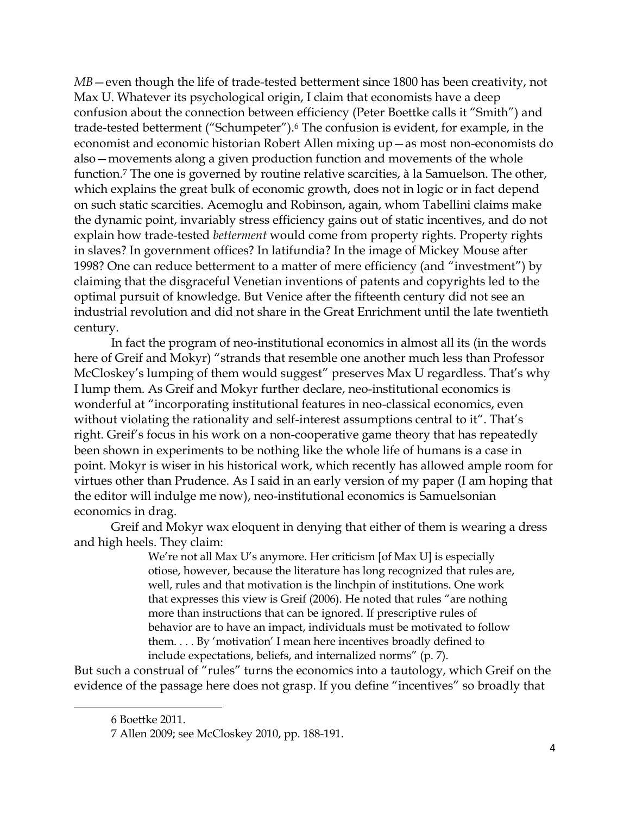*MB*—even though the life of trade-tested betterment since 1800 has been creativity, not Max U. Whatever its psychological origin, I claim that economists have a deep confusion about the connection between efficiency (Peter Boettke calls it "Smith") and trade-tested betterment ("Schumpeter").<sup>6</sup> The confusion is evident, for example, in the economist and economic historian Robert Allen mixing up—as most non-economists do also—movements along a given production function and movements of the whole function.<sup>7</sup> The one is governed by routine relative scarcities, à la Samuelson. The other, which explains the great bulk of economic growth, does not in logic or in fact depend on such static scarcities. Acemoglu and Robinson, again, whom Tabellini claims make the dynamic point, invariably stress efficiency gains out of static incentives, and do not explain how trade-tested *betterment* would come from property rights. Property rights in slaves? In government offices? In latifundia? In the image of Mickey Mouse after 1998? One can reduce betterment to a matter of mere efficiency (and "investment") by claiming that the disgraceful Venetian inventions of patents and copyrights led to the optimal pursuit of knowledge. But Venice after the fifteenth century did not see an industrial revolution and did not share in the Great Enrichment until the late twentieth century.

In fact the program of neo-institutional economics in almost all its (in the words here of Greif and Mokyr) "strands that resemble one another much less than Professor McCloskey's lumping of them would suggest" preserves Max U regardless. That's why I lump them. As Greif and Mokyr further declare, neo-institutional economics is wonderful at "incorporating institutional features in neo-classical economics, even without violating the rationality and self-interest assumptions central to it". That's right. Greif's focus in his work on a non-cooperative game theory that has repeatedly been shown in experiments to be nothing like the whole life of humans is a case in point. Mokyr is wiser in his historical work, which recently has allowed ample room for virtues other than Prudence. As I said in an early version of my paper (I am hoping that the editor will indulge me now), neo-institutional economics is Samuelsonian economics in drag.

Greif and Mokyr wax eloquent in denying that either of them is wearing a dress and high heels. They claim:

> We're not all Max U's anymore. Her criticism [of Max U] is especially otiose, however, because the literature has long recognized that rules are, well, rules and that motivation is the linchpin of institutions. One work that expresses this view is Greif (2006). He noted that rules "are nothing more than instructions that can be ignored. If prescriptive rules of behavior are to have an impact, individuals must be motivated to follow them. . . . By 'motivation' I mean here incentives broadly defined to include expectations, beliefs, and internalized norms" (p. 7).

But such a construal of "rules" turns the economics into a tautology, which Greif on the evidence of the passage here does not grasp. If you define "incentives" so broadly that

l

<sup>6</sup> Boettke 2011.

<sup>7</sup> Allen 2009; see McCloskey 2010, pp. 188-191.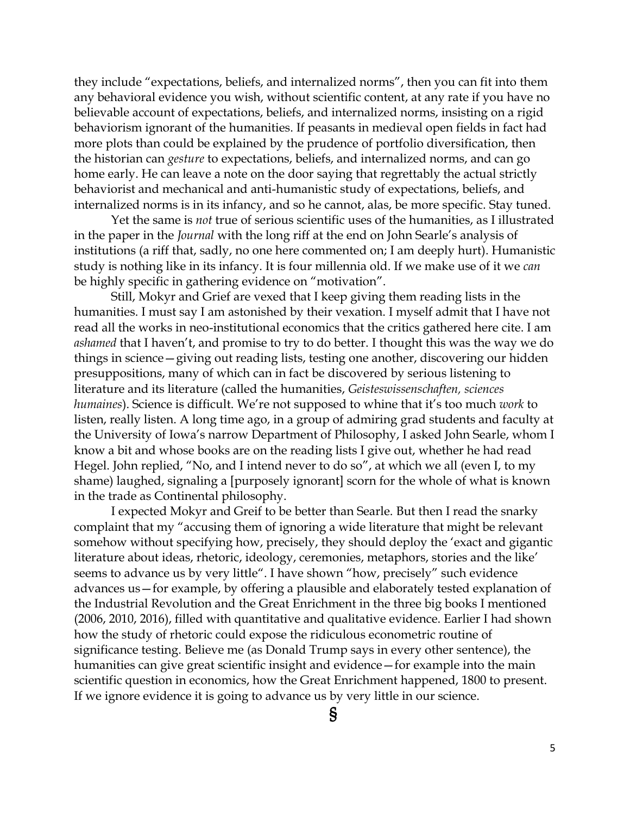they include "expectations, beliefs, and internalized norms", then you can fit into them any behavioral evidence you wish, without scientific content, at any rate if you have no believable account of expectations, beliefs, and internalized norms, insisting on a rigid behaviorism ignorant of the humanities. If peasants in medieval open fields in fact had more plots than could be explained by the prudence of portfolio diversification, then the historian can *gesture* to expectations, beliefs, and internalized norms, and can go home early. He can leave a note on the door saying that regrettably the actual strictly behaviorist and mechanical and anti-humanistic study of expectations, beliefs, and internalized norms is in its infancy, and so he cannot, alas, be more specific. Stay tuned.

Yet the same is *not* true of serious scientific uses of the humanities, as I illustrated in the paper in the *Journal* with the long riff at the end on John Searle's analysis of institutions (a riff that, sadly, no one here commented on; I am deeply hurt). Humanistic study is nothing like in its infancy. It is four millennia old. If we make use of it we *can* be highly specific in gathering evidence on "motivation".

Still, Mokyr and Grief are vexed that I keep giving them reading lists in the humanities. I must say I am astonished by their vexation. I myself admit that I have not read all the works in neo-institutional economics that the critics gathered here cite. I am *ashamed* that I haven't, and promise to try to do better. I thought this was the way we do things in science—giving out reading lists, testing one another, discovering our hidden presuppositions, many of which can in fact be discovered by serious listening to literature and its literature (called the humanities, *Geisteswissenschaften, sciences humaines*). Science is difficult. We're not supposed to whine that it's too much *work* to listen, really listen. A long time ago, in a group of admiring grad students and faculty at the University of Iowa's narrow Department of Philosophy, I asked John Searle, whom I know a bit and whose books are on the reading lists I give out, whether he had read Hegel. John replied, "No, and I intend never to do so", at which we all (even I, to my shame) laughed, signaling a [purposely ignorant] scorn for the whole of what is known in the trade as Continental philosophy.

I expected Mokyr and Greif to be better than Searle. But then I read the snarky complaint that my "accusing them of ignoring a wide literature that might be relevant somehow without specifying how, precisely, they should deploy the 'exact and gigantic literature about ideas, rhetoric, ideology, ceremonies, metaphors, stories and the like' seems to advance us by very little". I have shown "how, precisely" such evidence advances us—for example, by offering a plausible and elaborately tested explanation of the Industrial Revolution and the Great Enrichment in the three big books I mentioned (2006, 2010, 2016), filled with quantitative and qualitative evidence. Earlier I had shown how the study of rhetoric could expose the ridiculous econometric routine of significance testing. Believe me (as Donald Trump says in every other sentence), the humanities can give great scientific insight and evidence—for example into the main scientific question in economics, how the Great Enrichment happened, 1800 to present. If we ignore evidence it is going to advance us by very little in our science.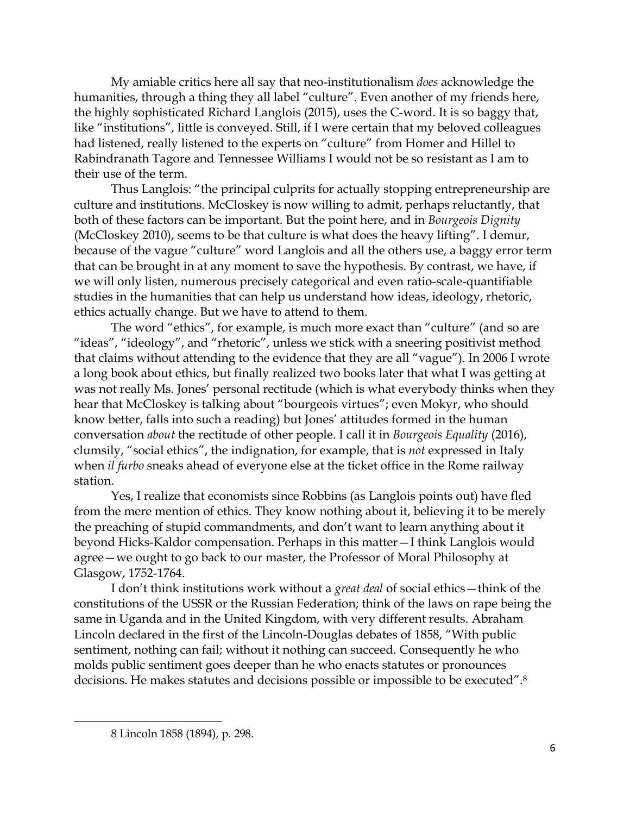My amiable critics here all say that neo-institutionalism *does* acknowledge the humanities, through a thing they all label "culture". Even another of my friends here, the highly sophisticated Richard Langlois (2015), uses the C-word. It is so baggy that, like "institutions", little is conveyed. Still, if I were certain that my beloved colleagues had listened, really listened to the experts on "culture" from Homer and Hillel to Rabindranath Tagore and Tennessee Williams I would not be so resistant as I am to their use of the term.

Thus Langlois: "the principal culprits for actually stopping entrepreneurship are culture and institutions. McCloskey is now willing to admit, perhaps reluctantly, that both of these factors can be important. But the point here, and in *Bourgeois Dignity* (McCloskey 2010), seems to be that culture is what does the heavy lifting". I demur, because of the vague "culture" word Langlois and all the others use, a baggy error term that can be brought in at any moment to save the hypothesis. By contrast, we have, if we will only listen, numerous precisely categorical and even ratio-scale-quantifiable studies in the humanities that can help us understand how ideas, ideology, rhetoric, ethics actually change. But we have to attend to them.

The word "ethics", for example, is much more exact than "culture" (and so are "ideas", "ideology", and "rhetoric", unless we stick with a sneering positivist method that claims without attending to the evidence that they are all "vague"). In 2006 I wrote a long book about ethics, but finally realized two books later that what I was getting at was not really Ms. Jones' personal rectitude (which is what everybody thinks when they hear that McCloskey is talking about "bourgeois virtues"; even Mokyr, who should know better, falls into such a reading) but Jones' attitudes formed in the human conversation *about* the rectitude of other people. I call it in *Bourgeois Equality* (2016), clumsily, "social ethics", the indignation, for example, that is *not* expressed in Italy when *il furbo* sneaks ahead of everyone else at the ticket office in the Rome railway station.

Yes, I realize that economists since Robbins (as Langlois points out) have fled from the mere mention of ethics. They know nothing about it, believing it to be merely the preaching of stupid commandments, and don't want to learn anything about it beyond Hicks-Kaldor compensation. Perhaps in this matter—I think Langlois would agree—we ought to go back to our master, the Professor of Moral Philosophy at Glasgow, 1752-1764.

I don't think institutions work without a *great deal* of social ethics—think of the constitutions of the USSR or the Russian Federation; think of the laws on rape being the same in Uganda and in the United Kingdom, with very different results. Abraham Lincoln declared in the first of the Lincoln-Douglas debates of 1858, "With public sentiment, nothing can fail; without it nothing can succeed. Consequently he who molds public sentiment goes deeper than he who enacts statutes or pronounces decisions. He makes statutes and decisions possible or impossible to be executed".<sup>8</sup>

<sup>8</sup> Lincoln 1858 (1894), p. 298.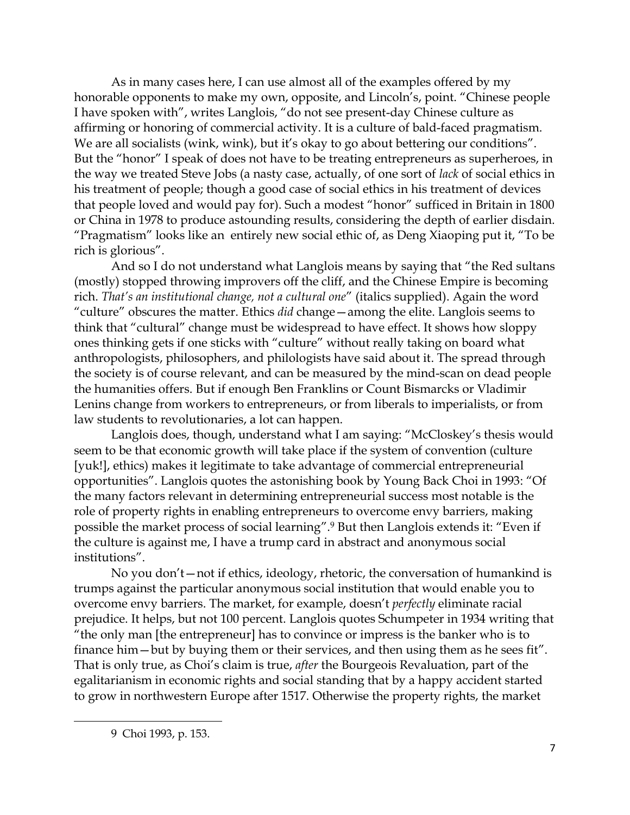As in many cases here, I can use almost all of the examples offered by my honorable opponents to make my own, opposite, and Lincoln's, point. "Chinese people I have spoken with", writes Langlois, "do not see present-day Chinese culture as affirming or honoring of commercial activity. It is a culture of bald-faced pragmatism. We are all socialists (wink, wink), but it's okay to go about bettering our conditions". But the "honor" I speak of does not have to be treating entrepreneurs as superheroes, in the way we treated Steve Jobs (a nasty case, actually, of one sort of *lack* of social ethics in his treatment of people; though a good case of social ethics in his treatment of devices that people loved and would pay for). Such a modest "honor" sufficed in Britain in 1800 or China in 1978 to produce astounding results, considering the depth of earlier disdain. "Pragmatism" looks like an entirely new social ethic of, as Deng Xiaoping put it, "To be rich is glorious".

And so I do not understand what Langlois means by saying that "the Red sultans (mostly) stopped throwing improvers off the cliff, and the Chinese Empire is becoming rich. *That's an institutional change, not a cultural one*" (italics supplied). Again the word "culture" obscures the matter. Ethics *did* change—among the elite. Langlois seems to think that "cultural" change must be widespread to have effect. It shows how sloppy ones thinking gets if one sticks with "culture" without really taking on board what anthropologists, philosophers, and philologists have said about it. The spread through the society is of course relevant, and can be measured by the mind-scan on dead people the humanities offers. But if enough Ben Franklins or Count Bismarcks or Vladimir Lenins change from workers to entrepreneurs, or from liberals to imperialists, or from law students to revolutionaries, a lot can happen.

Langlois does, though, understand what I am saying: "McCloskey's thesis would seem to be that economic growth will take place if the system of convention (culture [yuk!], ethics) makes it legitimate to take advantage of commercial entrepreneurial opportunities". Langlois quotes the astonishing book by Young Back Choi in 1993: "Of the many factors relevant in determining entrepreneurial success most notable is the role of property rights in enabling entrepreneurs to overcome envy barriers, making possible the market process of social learning".<sup>9</sup> But then Langlois extends it: "Even if the culture is against me, I have a trump card in abstract and anonymous social institutions".

No you don't—not if ethics, ideology, rhetoric, the conversation of humankind is trumps against the particular anonymous social institution that would enable you to overcome envy barriers. The market, for example, doesn't *perfectly* eliminate racial prejudice. It helps, but not 100 percent. Langlois quotes Schumpeter in 1934 writing that "the only man [the entrepreneur] has to convince or impress is the banker who is to finance him—but by buying them or their services, and then using them as he sees fit". That is only true, as Choi's claim is true, *after* the Bourgeois Revaluation, part of the egalitarianism in economic rights and social standing that by a happy accident started to grow in northwestern Europe after 1517. Otherwise the property rights, the market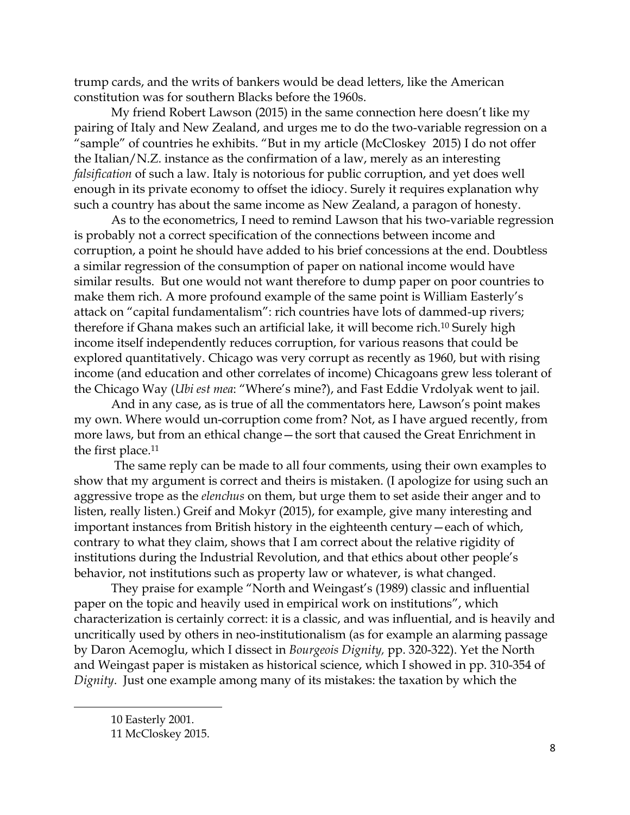trump cards, and the writs of bankers would be dead letters, like the American constitution was for southern Blacks before the 1960s.

My friend Robert Lawson (2015) in the same connection here doesn't like my pairing of Italy and New Zealand, and urges me to do the two-variable regression on a "sample" of countries he exhibits. "But in my article (McCloskey 2015) I do not offer the Italian/N.Z. instance as the confirmation of a law, merely as an interesting *falsification* of such a law. Italy is notorious for public corruption, and yet does well enough in its private economy to offset the idiocy. Surely it requires explanation why such a country has about the same income as New Zealand, a paragon of honesty.

As to the econometrics, I need to remind Lawson that his two-variable regression is probably not a correct specification of the connections between income and corruption, a point he should have added to his brief concessions at the end. Doubtless a similar regression of the consumption of paper on national income would have similar results. But one would not want therefore to dump paper on poor countries to make them rich. A more profound example of the same point is William Easterly's attack on "capital fundamentalism": rich countries have lots of dammed-up rivers; therefore if Ghana makes such an artificial lake, it will become rich.<sup>10</sup> Surely high income itself independently reduces corruption, for various reasons that could be explored quantitatively. Chicago was very corrupt as recently as 1960, but with rising income (and education and other correlates of income) Chicagoans grew less tolerant of the Chicago Way (*Ubi est mea*: "Where's mine?), and Fast Eddie Vrdolyak went to jail.

And in any case, as is true of all the commentators here, Lawson's point makes my own. Where would un-corruption come from? Not, as I have argued recently, from more laws, but from an ethical change—the sort that caused the Great Enrichment in the first place.<sup>11</sup>

The same reply can be made to all four comments, using their own examples to show that my argument is correct and theirs is mistaken. (I apologize for using such an aggressive trope as the *elenchus* on them, but urge them to set aside their anger and to listen, really listen.) Greif and Mokyr (2015), for example, give many interesting and important instances from British history in the eighteenth century—each of which, contrary to what they claim, shows that I am correct about the relative rigidity of institutions during the Industrial Revolution, and that ethics about other people's behavior, not institutions such as property law or whatever, is what changed.

They praise for example "North and Weingast's (1989) classic and influential paper on the topic and heavily used in empirical work on institutions", which characterization is certainly correct: it is a classic, and was influential, and is heavily and uncritically used by others in neo-institutionalism (as for example an alarming passage by Daron Acemoglu, which I dissect in *Bourgeois Dignity,* pp. 320-322). Yet the North and Weingast paper is mistaken as historical science, which I showed in pp. 310-354 of *Dignity*. Just one example among many of its mistakes: the taxation by which the

l

<sup>10</sup> Easterly 2001.

<sup>11</sup> McCloskey 2015.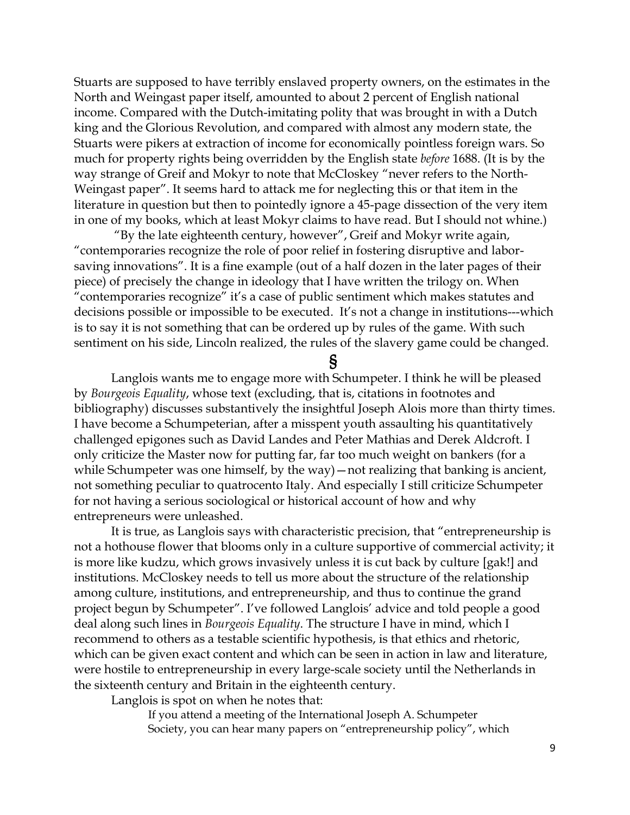Stuarts are supposed to have terribly enslaved property owners, on the estimates in the North and Weingast paper itself, amounted to about 2 percent of English national income. Compared with the Dutch-imitating polity that was brought in with a Dutch king and the Glorious Revolution, and compared with almost any modern state, the Stuarts were pikers at extraction of income for economically pointless foreign wars. So much for property rights being overridden by the English state *before* 1688. (It is by the way strange of Greif and Mokyr to note that McCloskey "never refers to the North-Weingast paper". It seems hard to attack me for neglecting this or that item in the literature in question but then to pointedly ignore a 45-page dissection of the very item in one of my books, which at least Mokyr claims to have read. But I should not whine.)

"By the late eighteenth century, however", Greif and Mokyr write again, "contemporaries recognize the role of poor relief in fostering disruptive and laborsaving innovations". It is a fine example (out of a half dozen in the later pages of their piece) of precisely the change in ideology that I have written the trilogy on. When "contemporaries recognize" it's a case of public sentiment which makes statutes and decisions possible or impossible to be executed. It's not a change in institutions---which is to say it is not something that can be ordered up by rules of the game. With such sentiment on his side, Lincoln realized, the rules of the slavery game could be changed.

**§**

Langlois wants me to engage more with Schumpeter. I think he will be pleased by *Bourgeois Equality*, whose text (excluding, that is, citations in footnotes and bibliography) discusses substantively the insightful Joseph Alois more than thirty times. I have become a Schumpeterian, after a misspent youth assaulting his quantitatively challenged epigones such as David Landes and Peter Mathias and Derek Aldcroft. I only criticize the Master now for putting far, far too much weight on bankers (for a while Schumpeter was one himself, by the way)—not realizing that banking is ancient, not something peculiar to quatrocento Italy. And especially I still criticize Schumpeter for not having a serious sociological or historical account of how and why entrepreneurs were unleashed.

It is true, as Langlois says with characteristic precision, that "entrepreneurship is not a hothouse flower that blooms only in a culture supportive of commercial activity; it is more like kudzu, which grows invasively unless it is cut back by culture [gak!] and institutions. McCloskey needs to tell us more about the structure of the relationship among culture, institutions, and entrepreneurship, and thus to continue the grand project begun by Schumpeter". I've followed Langlois' advice and told people a good deal along such lines in *Bourgeois Equality*. The structure I have in mind, which I recommend to others as a testable scientific hypothesis, is that ethics and rhetoric, which can be given exact content and which can be seen in action in law and literature, were hostile to entrepreneurship in every large-scale society until the Netherlands in the sixteenth century and Britain in the eighteenth century.

Langlois is spot on when he notes that:

If you attend a meeting of the International Joseph A. Schumpeter Society, you can hear many papers on "entrepreneurship policy", which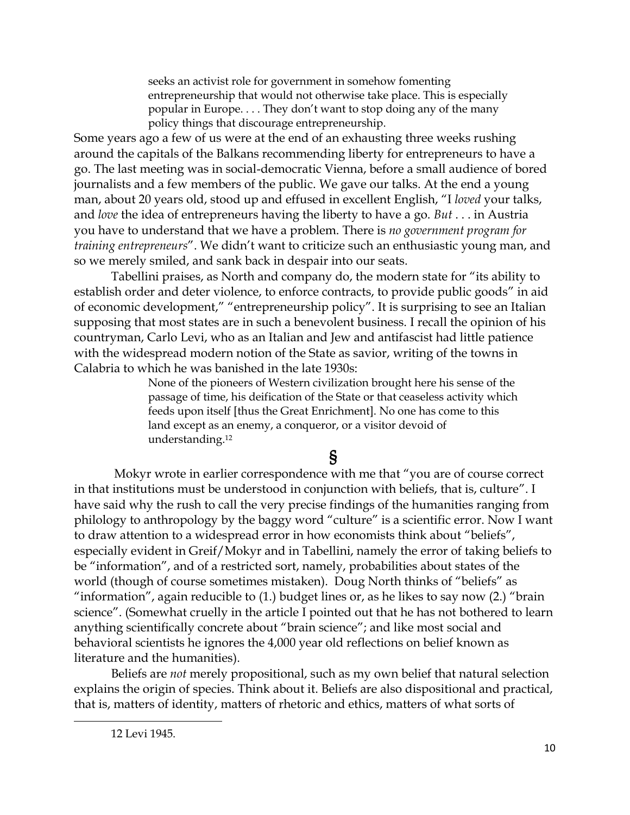seeks an activist role for government in somehow fomenting entrepreneurship that would not otherwise take place. This is especially popular in Europe. . . . They don't want to stop doing any of the many policy things that discourage entrepreneurship.

Some years ago a few of us were at the end of an exhausting three weeks rushing around the capitals of the Balkans recommending liberty for entrepreneurs to have a go. The last meeting was in social-democratic Vienna, before a small audience of bored journalists and a few members of the public. We gave our talks. At the end a young man, about 20 years old, stood up and effused in excellent English, "I *loved* your talks, and *love* the idea of entrepreneurs having the liberty to have a go. *But* . . . in Austria you have to understand that we have a problem. There is *no government program for training entrepreneurs*". We didn't want to criticize such an enthusiastic young man, and so we merely smiled, and sank back in despair into our seats.

Tabellini praises, as North and company do, the modern state for "its ability to establish order and deter violence, to enforce contracts, to provide public goods" in aid of economic development," "entrepreneurship policy". It is surprising to see an Italian supposing that most states are in such a benevolent business. I recall the opinion of his countryman, Carlo Levi, who as an Italian and Jew and antifascist had little patience with the widespread modern notion of the State as savior, writing of the towns in Calabria to which he was banished in the late 1930s:

> None of the pioneers of Western civilization brought here his sense of the passage of time, his deification of the State or that ceaseless activity which feeds upon itself [thus the Great Enrichment]. No one has come to this land except as an enemy, a conqueror, or a visitor devoid of understanding.<sup>12</sup>

## **§**

Mokyr wrote in earlier correspondence with me that "you are of course correct in that institutions must be understood in conjunction with beliefs, that is, culture". I have said why the rush to call the very precise findings of the humanities ranging from philology to anthropology by the baggy word "culture" is a scientific error. Now I want to draw attention to a widespread error in how economists think about "beliefs", especially evident in Greif/Mokyr and in Tabellini, namely the error of taking beliefs to be "information", and of a restricted sort, namely, probabilities about states of the world (though of course sometimes mistaken). Doug North thinks of "beliefs" as "information", again reducible to  $(1)$  budget lines or, as he likes to say now  $(2)$  "brain science". (Somewhat cruelly in the article I pointed out that he has not bothered to learn anything scientifically concrete about "brain science"; and like most social and behavioral scientists he ignores the 4,000 year old reflections on belief known as literature and the humanities).

Beliefs are *not* merely propositional, such as my own belief that natural selection explains the origin of species. Think about it. Beliefs are also dispositional and practical, that is, matters of identity, matters of rhetoric and ethics, matters of what sorts of

<sup>12</sup> Levi 1945.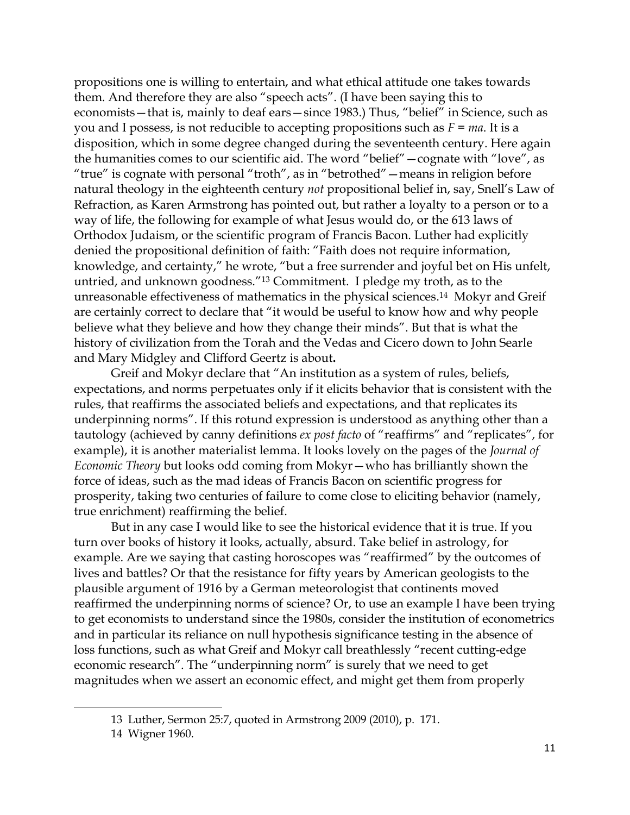propositions one is willing to entertain, and what ethical attitude one takes towards them. And therefore they are also "speech acts". (I have been saying this to economists—that is, mainly to deaf ears—since 1983.) Thus, "belief" in Science, such as you and I possess, is not reducible to accepting propositions such as *F* = *ma*. It is a disposition, which in some degree changed during the seventeenth century. Here again the humanities comes to our scientific aid. The word "belief"—cognate with "love", as "true" is cognate with personal "troth", as in "betrothed"—means in religion before natural theology in the eighteenth century *not* propositional belief in, say, Snell's Law of Refraction, as Karen Armstrong has pointed out, but rather a loyalty to a person or to a way of life, the following for example of what Jesus would do, or the 613 laws of Orthodox Judaism, or the scientific program of Francis Bacon. Luther had explicitly denied the propositional definition of faith: "Faith does not require information, knowledge, and certainty," he wrote, "but a free surrender and joyful bet on His unfelt, untried, and unknown goodness."<sup>13</sup> Commitment. I pledge my troth, as to the unreasonable effectiveness of mathematics in the physical sciences. <sup>14</sup> Mokyr and Greif are certainly correct to declare that "it would be useful to know how and why people believe what they believe and how they change their minds". But that is what the history of civilization from the Torah and the Vedas and Cicero down to John Searle and Mary Midgley and Clifford Geertz is about**.**

Greif and Mokyr declare that "An institution as a system of rules, beliefs, expectations, and norms perpetuates only if it elicits behavior that is consistent with the rules, that reaffirms the associated beliefs and expectations, and that replicates its underpinning norms". If this rotund expression is understood as anything other than a tautology (achieved by canny definitions *ex post facto* of "reaffirms" and "replicates", for example), it is another materialist lemma. It looks lovely on the pages of the *Journal of Economic Theory* but looks odd coming from Mokyr—who has brilliantly shown the force of ideas, such as the mad ideas of Francis Bacon on scientific progress for prosperity, taking two centuries of failure to come close to eliciting behavior (namely, true enrichment) reaffirming the belief.

But in any case I would like to see the historical evidence that it is true. If you turn over books of history it looks, actually, absurd. Take belief in astrology, for example. Are we saying that casting horoscopes was "reaffirmed" by the outcomes of lives and battles? Or that the resistance for fifty years by American geologists to the plausible argument of 1916 by a German meteorologist that continents moved reaffirmed the underpinning norms of science? Or, to use an example I have been trying to get economists to understand since the 1980s, consider the institution of econometrics and in particular its reliance on null hypothesis significance testing in the absence of loss functions, such as what Greif and Mokyr call breathlessly "recent cutting-edge economic research". The "underpinning norm" is surely that we need to get magnitudes when we assert an economic effect, and might get them from properly

l

<sup>13</sup> Luther, Sermon 25:7, quoted in Armstrong 2009 (2010), p. 171.

<sup>14</sup> Wigner 1960.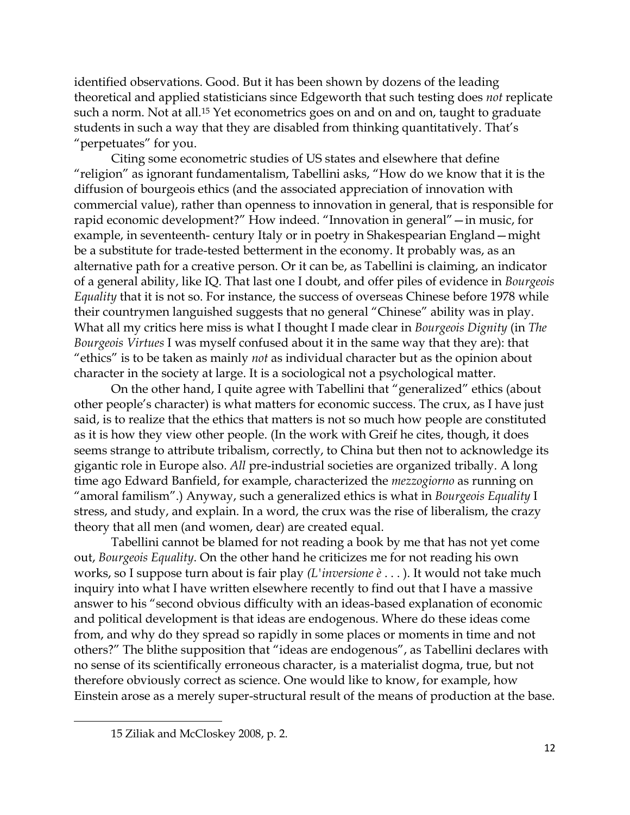identified observations. Good. But it has been shown by dozens of the leading theoretical and applied statisticians since Edgeworth that such testing does *not* replicate such a norm. Not at all.<sup>15</sup> Yet econometrics goes on and on and on, taught to graduate students in such a way that they are disabled from thinking quantitatively. That's "perpetuates" for you.

Citing some econometric studies of US states and elsewhere that define "religion" as ignorant fundamentalism, Tabellini asks, "How do we know that it is the diffusion of bourgeois ethics (and the associated appreciation of innovation with commercial value), rather than openness to innovation in general, that is responsible for rapid economic development?" How indeed. "Innovation in general"—in music, for example, in seventeenth- century Italy or in poetry in Shakespearian England—might be a substitute for trade-tested betterment in the economy. It probably was, as an alternative path for a creative person. Or it can be, as Tabellini is claiming, an indicator of a general ability, like IQ. That last one I doubt, and offer piles of evidence in *Bourgeois Equality* that it is not so. For instance, the success of overseas Chinese before 1978 while their countrymen languished suggests that no general "Chinese" ability was in play. What all my critics here miss is what I thought I made clear in *Bourgeois Dignity* (in *The Bourgeois Virtues* I was myself confused about it in the same way that they are): that "ethics" is to be taken as mainly *not* as individual character but as the opinion about character in the society at large. It is a sociological not a psychological matter.

On the other hand, I quite agree with Tabellini that "generalized" ethics (about other people's character) is what matters for economic success. The crux, as I have just said, is to realize that the ethics that matters is not so much how people are constituted as it is how they view other people. (In the work with Greif he cites, though, it does seems strange to attribute tribalism, correctly, to China but then not to acknowledge its gigantic role in Europe also. *All* pre-industrial societies are organized tribally. A long time ago Edward Banfield, for example, characterized the *mezzogiorno* as running on "amoral familism".) Anyway, such a generalized ethics is what in *Bourgeois Equality* I stress, and study, and explain. In a word, the crux was the rise of liberalism, the crazy theory that all men (and women, dear) are created equal.

Tabellini cannot be blamed for not reading a book by me that has not yet come out, *Bourgeois Equality*. On the other hand he criticizes me for not reading his own works, so I suppose turn about is fair play *(L'inversione è* . . . ). It would not take much inquiry into what I have written elsewhere recently to find out that I have a massive answer to his "second obvious difficulty with an ideas-based explanation of economic and political development is that ideas are endogenous. Where do these ideas come from, and why do they spread so rapidly in some places or moments in time and not others?" The blithe supposition that "ideas are endogenous", as Tabellini declares with no sense of its scientifically erroneous character, is a materialist dogma, true, but not therefore obviously correct as science. One would like to know, for example, how Einstein arose as a merely super-structural result of the means of production at the base.

<sup>15</sup> Ziliak and McCloskey 2008, p. 2.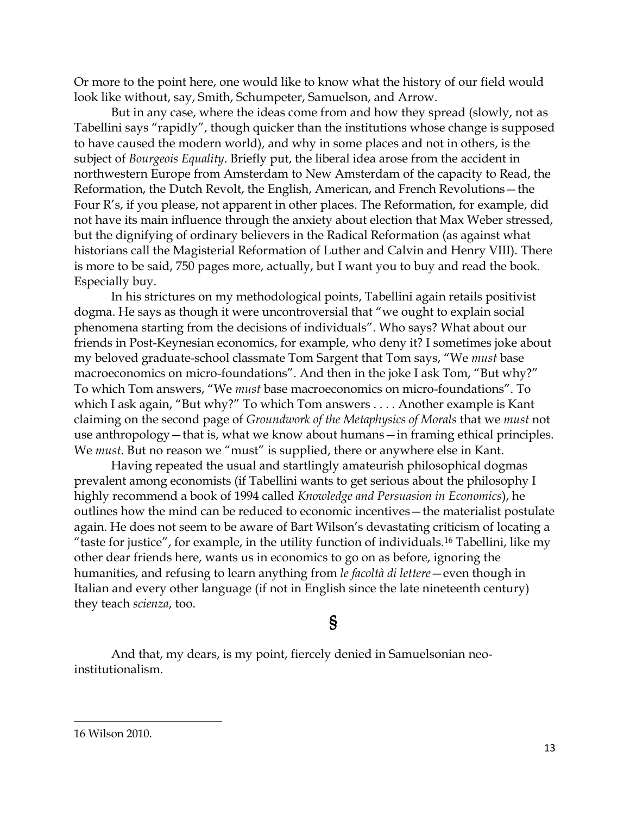Or more to the point here, one would like to know what the history of our field would look like without, say, Smith, Schumpeter, Samuelson, and Arrow.

But in any case, where the ideas come from and how they spread (slowly, not as Tabellini says "rapidly", though quicker than the institutions whose change is supposed to have caused the modern world), and why in some places and not in others, is the subject of *Bourgeois Equality*. Briefly put, the liberal idea arose from the accident in northwestern Europe from Amsterdam to New Amsterdam of the capacity to Read, the Reformation, the Dutch Revolt, the English, American, and French Revolutions—the Four R's, if you please, not apparent in other places. The Reformation, for example, did not have its main influence through the anxiety about election that Max Weber stressed, but the dignifying of ordinary believers in the Radical Reformation (as against what historians call the Magisterial Reformation of Luther and Calvin and Henry VIII). There is more to be said, 750 pages more, actually, but I want you to buy and read the book. Especially buy.

In his strictures on my methodological points, Tabellini again retails positivist dogma. He says as though it were uncontroversial that "we ought to explain social phenomena starting from the decisions of individuals". Who says? What about our friends in Post-Keynesian economics, for example, who deny it? I sometimes joke about my beloved graduate-school classmate Tom Sargent that Tom says, "We *must* base macroeconomics on micro-foundations". And then in the joke I ask Tom, "But why?" To which Tom answers, "We *must* base macroeconomics on micro-foundations". To which I ask again, "But why?" To which Tom answers . . . . Another example is Kant claiming on the second page of *Groundwork of the Metaphysics of Morals* that we *must* not use anthropology—that is, what we know about humans—in framing ethical principles. We *must*. But no reason we "must" is supplied, there or anywhere else in Kant.

Having repeated the usual and startlingly amateurish philosophical dogmas prevalent among economists (if Tabellini wants to get serious about the philosophy I highly recommend a book of 1994 called *Knowledge and Persuasion in Economics*), he outlines how the mind can be reduced to economic incentives—the materialist postulate again. He does not seem to be aware of Bart Wilson's devastating criticism of locating a "taste for justice", for example, in the utility function of individuals.<sup>16</sup> Tabellini, like my other dear friends here, wants us in economics to go on as before, ignoring the humanities, and refusing to learn anything from *le facoltà di lettere*—even though in Italian and every other language (if not in English since the late nineteenth century) they teach *scienza*, too.

#### **§**

And that, my dears, is my point, fiercely denied in Samuelsonian neoinstitutionalism.

<sup>16</sup> Wilson 2010.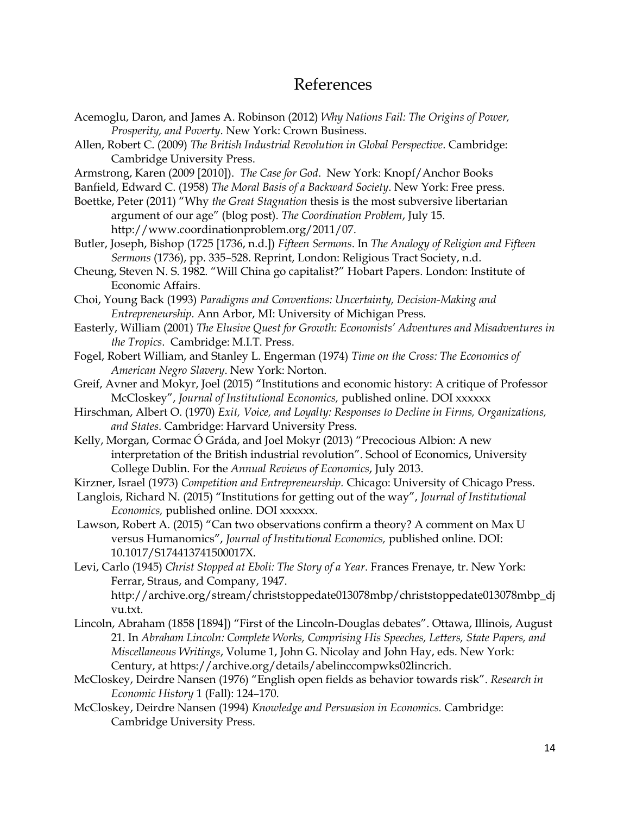### References

- Acemoglu, Daron, and James A. Robinson (2012) *Why Nations Fail: The Origins of Power, Prosperity, and Poverty*. New York: Crown Business.
- Allen, Robert C. (2009) *The British Industrial Revolution in Global Perspective*. Cambridge: Cambridge University Press.
- Armstrong, Karen (2009 [2010]). *The Case for God*. New York: Knopf/Anchor Books
- Banfield, Edward C. (1958) *The Moral Basis of a Backward Society*. New York: Free press.
- Boettke, Peter (2011) "Why *the Great Stagnation* thesis is the most subversive libertarian argument of our age" (blog post). *The Coordination Problem*, July 15. http://www.coordinationproblem.org/2011/07.
- Butler, Joseph, Bishop (1725 [1736, n.d.]) *Fifteen Sermons*. In *The Analogy of Religion and Fifteen Sermons* (1736), pp. 335–528. Reprint, London: Religious Tract Society, n.d.
- Cheung, Steven N. S. 1982. "Will China go capitalist?" Hobart Papers. London: Institute of Economic Affairs.
- Choi, Young Back (1993) *Paradigms and Conventions: Uncertainty, Decision-Making and Entrepreneurship.* Ann Arbor, MI: University of Michigan Press*.*
- Easterly, William (2001) *The Elusive Quest for Growth: Economists' Adventures and Misadventures in the Tropics*. Cambridge: M.I.T. Press.
- Fogel, Robert William, and Stanley L. Engerman (1974) *Time on the Cross: The Economics of American Negro Slavery*. New York: Norton.
- Greif, Avner and Mokyr, Joel (2015) "Institutions and economic history: A critique of Professor McCloskey", *Journal of Institutional Economics,* published online. DOI xxxxxx
- Hirschman, Albert O. (1970) *Exit, Voice, and Loyalty: Responses to Decline in Firms, Organizations, and States*. Cambridge: Harvard University Press.
- Kelly, Morgan, Cormac Ó Gráda, and Joel Mokyr (2013) "Precocious Albion: A new interpretation of the British industrial revolution". School of Economics, University College Dublin. For the *Annual Reviews of Economics*, July 2013.
- Kirzner, Israel (1973) *Competition and Entrepreneurship.* Chicago: University of Chicago Press.
- Langlois, Richard N. (2015) "Institutions for getting out of the way", *Journal of Institutional Economics,* published online. DOI xxxxxx.
- Lawson, Robert A. (2015) "Can two observations confirm a theory? A comment on Max U versus Humanomics", *Journal of Institutional Economics,* published online. DOI: 10.1017/S174413741500017X.
- Levi, Carlo (1945) *Christ Stopped at Eboli: The Story of a Year*. Frances Frenaye, tr. New York: Ferrar, Straus, and Company, 1947. http://archive.org/stream/christstoppedate013078mbp/christstoppedate013078mbp\_dj vu.txt.
- Lincoln, Abraham (1858 [1894]) "First of the Lincoln-Douglas debates". Ottawa, Illinois, August 21. In *Abraham Lincoln: Complete Works, Comprising His Speeches, Letters, State Papers, and Miscellaneous Writings*, Volume 1, John G. Nicolay and John Hay, eds. New York: Century, at https://archive.org/details/abelinccompwks02lincrich.
- McCloskey, Deirdre Nansen (1976) "English open fields as behavior towards risk". *Research in Economic History* 1 (Fall): 124–170.
- McCloskey, Deirdre Nansen (1994) *Knowledge and Persuasion in Economics.* Cambridge: Cambridge University Press.